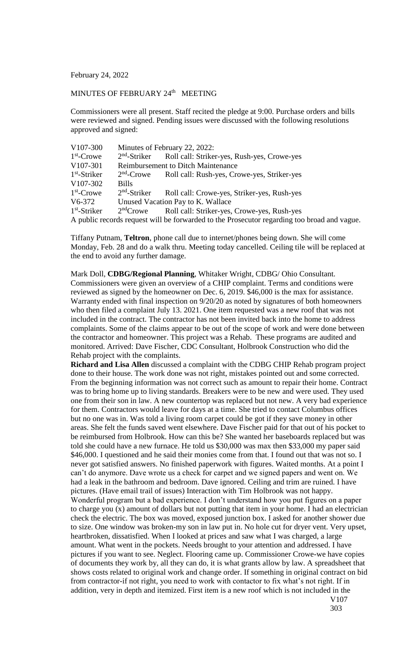February 24, 2022

## MINUTES OF FEBRUARY 24<sup>th</sup> MEETING

Commissioners were all present. Staff recited the pledge at 9:00. Purchase orders and bills were reviewed and signed. Pending issues were discussed with the following resolutions approved and signed:

| V <sub>107</sub> -300                                                                       | Minutes of February 22, 2022:             |                                             |
|---------------------------------------------------------------------------------------------|-------------------------------------------|---------------------------------------------|
| $1st$ -Crowe                                                                                | $2nd$ -Striker                            | Roll call: Striker-yes, Rush-yes, Crowe-yes |
| V107-301                                                                                    | <b>Reimbursement to Ditch Maintenance</b> |                                             |
| $1st$ -Striker                                                                              | $2nd$ -Crowe                              | Roll call: Rush-yes, Crowe-yes, Striker-yes |
| V107-302                                                                                    | <b>Bills</b>                              |                                             |
| $1st$ -Crowe                                                                                | $2nd$ -Striker                            | Roll call: Crowe-yes, Striker-yes, Rush-yes |
| V6-372                                                                                      | Unused Vacation Pay to K. Wallace         |                                             |
| $1st$ -Striker                                                                              | $2nd$ Crowe                               | Roll call: Striker-yes, Crowe-yes, Rush-yes |
| A public records request will be forwarded to the Prosecutor regarding too broad and vague. |                                           |                                             |

Tiffany Putnam, **Teltron**, phone call due to internet/phones being down. She will come Monday, Feb. 28 and do a walk thru. Meeting today cancelled. Ceiling tile will be replaced at the end to avoid any further damage.

Mark Doll, **CDBG/Regional Planning**, Whitaker Wright, CDBG/ Ohio Consultant. Commissioners were given an overview of a CHIP complaint. Terms and conditions were reviewed as signed by the homeowner on Dec. 6, 2019. \$46,000 is the max for assistance. Warranty ended with final inspection on 9/20/20 as noted by signatures of both homeowners who then filed a complaint July 13. 2021. One item requested was a new roof that was not included in the contract. The contractor has not been invited back into the home to address complaints. Some of the claims appear to be out of the scope of work and were done between the contractor and homeowner. This project was a Rehab. These programs are audited and monitored. Arrived: Dave Fischer, CDC Consultant, Holbrook Construction who did the Rehab project with the complaints.

**Richard and Lisa Allen** discussed a complaint with the CDBG CHIP Rehab program project done to their house. The work done was not right, mistakes pointed out and some corrected. From the beginning information was not correct such as amount to repair their home. Contract was to bring home up to living standards. Breakers were to be new and were used. They used one from their son in law. A new countertop was replaced but not new. A very bad experience for them. Contractors would leave for days at a time. She tried to contact Columbus offices but no one was in. Was told a living room carpet could be got if they save money in other areas. She felt the funds saved went elsewhere. Dave Fischer paid for that out of his pocket to be reimbursed from Holbrook. How can this be? She wanted her baseboards replaced but was told she could have a new furnace. He told us \$30,000 was max then \$33,000 my paper said \$46,000. I questioned and he said their monies come from that. I found out that was not so. I never got satisfied answers. No finished paperwork with figures. Waited months. At a point I can't do anymore. Dave wrote us a check for carpet and we signed papers and went on. We had a leak in the bathroom and bedroom. Dave ignored. Ceiling and trim are ruined. I have pictures. (Have email trail of issues) Interaction with Tim Holbrook was not happy. Wonderful program but a bad experience. I don't understand how you put figures on a paper to charge you (x) amount of dollars but not putting that item in your home. I had an electrician check the electric. The box was moved, exposed junction box. I asked for another shower due to size. One window was broken-my son in law put in. No hole cut for dryer vent. Very upset, heartbroken, dissatisfied. When I looked at prices and saw what I was charged, a large amount. What went in the pockets. Needs brought to your attention and addressed. I have pictures if you want to see. Neglect. Flooring came up. Commissioner Crowe-we have copies of documents they work by, all they can do, it is what grants allow by law. A spreadsheet that shows costs related to original work and change order. If something in original contract on bid from contractor-if not right, you need to work with contactor to fix what's not right. If in addition, very in depth and itemized. First item is a new roof which is not included in the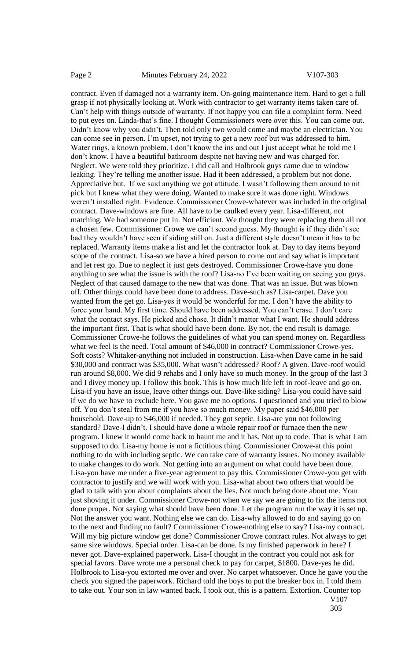contract. Even if damaged not a warranty item. On-going maintenance item. Hard to get a full grasp if not physically looking at. Work with contractor to get warranty items taken care of. Can't help with things outside of warranty. If not happy you can file a complaint form. Need to put eyes on. Linda-that's fine. I thought Commissioners were over this. You can come out. Didn't know why you didn't. Then told only two would come and maybe an electrician. You can come see in person. I'm upset, not trying to get a new roof but was addressed to him. Water rings, a known problem. I don't know the ins and out I just accept what he told me I don't know. I have a beautiful bathroom despite not having new and was charged for. Neglect. We were told they prioritize. I did call and Holbrook guys came due to window leaking. They're telling me another issue. Had it been addressed, a problem but not done. Appreciative but. If we said anything we got attitude. I wasn't following them around to nit pick but I knew what they were doing. Wanted to make sure it was done right. Windows weren't installed right. Evidence. Commissioner Crowe-whatever was included in the original contract. Dave-windows are fine. All have to be caulked every year. Lisa-different, not matching. We had someone put in. Not efficient. We thought they were replacing them all not a chosen few. Commissioner Crowe we can't second guess. My thought is if they didn't see bad they wouldn't have seen if siding still on. Just a different style doesn't mean it has to be replaced. Warranty items make a list and let the contractor look at. Day to day items beyond scope of the contract. Lisa-so we have a hired person to come out and say what is important and let rest go. Due to neglect it just gets destroyed. Commissioner Crowe-have you done anything to see what the issue is with the roof? Lisa-no I've been waiting on seeing you guys. Neglect of that caused damage to the new that was done. That was an issue. But was blown off. Other things could have been done to address. Dave-such as? Lisa-carpet. Dave you wanted from the get go. Lisa-yes it would be wonderful for me. I don't have the ability to force your hand. My first time. Should have been addressed. You can't erase. I don't care what the contact says. He picked and chose. It didn't matter what I want. He should address the important first. That is what should have been done. By not, the end result is damage. Commissioner Crowe-he follows the guidelines of what you can spend money on. Regardless what we feel is the need. Total amount of \$46,000 in contract? Commissioner Crowe-yes. Soft costs? Whitaker-anything not included in construction. Lisa-when Dave came in he said \$30,000 and contract was \$35,000. What wasn't addressed? Roof? A given. Dave-roof would run around \$8,000. We did 9 rehabs and I only have so much money. In the group of the last 3 and I divey money up. I follow this book. This is how much life left in roof-leave and go on. Lisa-if you have an issue, leave other things out. Dave-like siding? Lisa-you could have said if we do we have to exclude here. You gave me no options. I questioned and you tried to blow off. You don't steal from me if you have so much money. My paper said \$46,000 per household. Dave-up to \$46,000 if needed. They got septic. Lisa-are you not following standard? Dave-I didn't. I should have done a whole repair roof or furnace then the new program. I knew it would come back to haunt me and it has. Not up to code. That is what I am supposed to do. Lisa-my home is not a fictitious thing. Commissioner Crowe-at this point nothing to do with including septic. We can take care of warranty issues. No money available to make changes to do work. Not getting into an argument on what could have been done. Lisa-you have me under a five-year agreement to pay this. Commissioner Crowe-you get with contractor to justify and we will work with you. Lisa-what about two others that would be glad to talk with you about complaints about the lies. Not much being done about me. Your just shoving it under. Commissioner Crowe-not when we say we are going to fix the items not done proper. Not saying what should have been done. Let the program run the way it is set up. Not the answer you want. Nothing else we can do. Lisa-why allowed to do and saying go on to the next and finding no fault? Commissioner Crowe-nothing else to say? Lisa-my contract. Will my big picture window get done? Commissioner Crowe contract rules. Not always to get same size windows. Special order. Lisa-can be done. Is my finished paperwork in here? I never got. Dave-explained paperwork. Lisa-I thought in the contract you could not ask for special favors. Dave wrote me a personal check to pay for carpet, \$1800. Dave-yes he did. Holbrook to Lisa-you extorted me over and over. No carpet whatsoever. Once he gave you the check you signed the paperwork. Richard told the boys to put the breaker box in. I told them to take out. Your son in law wanted back. I took out, this is a pattern. Extortion. Counter top V107

<sup>303</sup>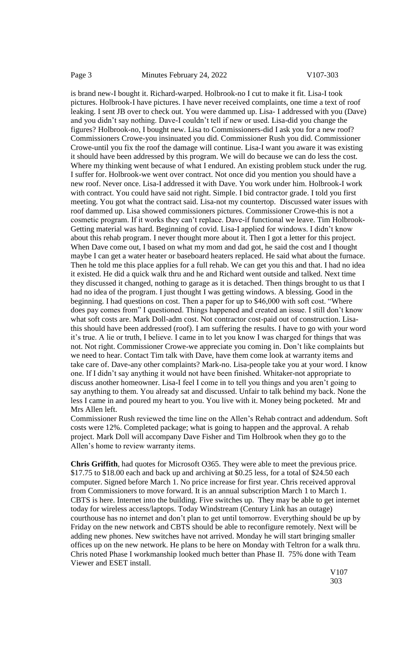is brand new-I bought it. Richard-warped. Holbrook-no I cut to make it fit. Lisa-I took pictures. Holbrook-I have pictures. I have never received complaints, one time a text of roof leaking. I sent JB over to check out. You were dammed up. Lisa- I addressed with you (Dave) and you didn't say nothing. Dave-I couldn't tell if new or used. Lisa-did you change the figures? Holbrook-no, I bought new. Lisa to Commissioners-did I ask you for a new roof? Commissioners Crowe-you insinuated you did. Commissioner Rush you did. Commissioner Crowe-until you fix the roof the damage will continue. Lisa-I want you aware it was existing it should have been addressed by this program. We will do because we can do less the cost. Where my thinking went because of what I endured. An existing problem stuck under the rug. I suffer for. Holbrook-we went over contract. Not once did you mention you should have a new roof. Never once. Lisa-I addressed it with Dave. You work under him. Holbrook-I work with contract. You could have said not right. Simple. I bid contractor grade. I told you first meeting. You got what the contract said. Lisa-not my countertop. Discussed water issues with roof dammed up. Lisa showed commissioners pictures. Commissioner Crowe-this is not a cosmetic program. If it works they can't replace. Dave-if functional we leave. Tim Holbrook-Getting material was hard. Beginning of covid. Lisa-I applied for windows. I didn't know about this rehab program. I never thought more about it. Then I got a letter for this project. When Dave come out, I based on what my mom and dad got, he said the cost and I thought maybe I can get a water heater or baseboard heaters replaced. He said what about the furnace. Then he told me this place applies for a full rehab. We can get you this and that. I had no idea it existed. He did a quick walk thru and he and Richard went outside and talked. Next time they discussed it changed, nothing to garage as it is detached. Then things brought to us that I had no idea of the program. I just thought I was getting windows. A blessing. Good in the beginning. I had questions on cost. Then a paper for up to \$46,000 with soft cost. "Where does pay comes from" I questioned. Things happened and created an issue. I still don't know what soft costs are. Mark Doll-adm cost. Not contractor cost-paid out of construction. Lisathis should have been addressed (roof). I am suffering the results. I have to go with your word it's true. A lie or truth, I believe. I came in to let you know I was charged for things that was not. Not right. Commissioner Crowe-we appreciate you coming in. Don't like complaints but we need to hear. Contact Tim talk with Dave, have them come look at warranty items and take care of. Dave-any other complaints? Mark-no. Lisa-people take you at your word. I know one. If I didn't say anything it would not have been finished. Whitaker-not appropriate to discuss another homeowner. Lisa-I feel I come in to tell you things and you aren't going to say anything to them. You already sat and discussed. Unfair to talk behind my back. None the less I came in and poured my heart to you. You live with it. Money being pocketed. Mr and Mrs Allen left.

Commissioner Rush reviewed the time line on the Allen's Rehab contract and addendum. Soft costs were 12%. Completed package; what is going to happen and the approval. A rehab project. Mark Doll will accompany Dave Fisher and Tim Holbrook when they go to the Allen's home to review warranty items.

**Chris Griffith**, had quotes for Microsoft O365. They were able to meet the previous price. \$17.75 to \$18.00 each and back up and archiving at \$0.25 less, for a total of \$24.50 each computer. Signed before March 1. No price increase for first year. Chris received approval from Commissioners to move forward. It is an annual subscription March 1 to March 1. CBTS is here. Internet into the building. Five switches up. They may be able to get internet today for wireless access/laptops. Today Windstream (Century Link has an outage) courthouse has no internet and don't plan to get until tomorrow. Everything should be up by Friday on the new network and CBTS should be able to reconfigure remotely. Next will be adding new phones. New switches have not arrived. Monday he will start bringing smaller offices up on the new network. He plans to be here on Monday with Teltron for a walk thru. Chris noted Phase I workmanship looked much better than Phase II. 75% done with Team Viewer and ESET install.